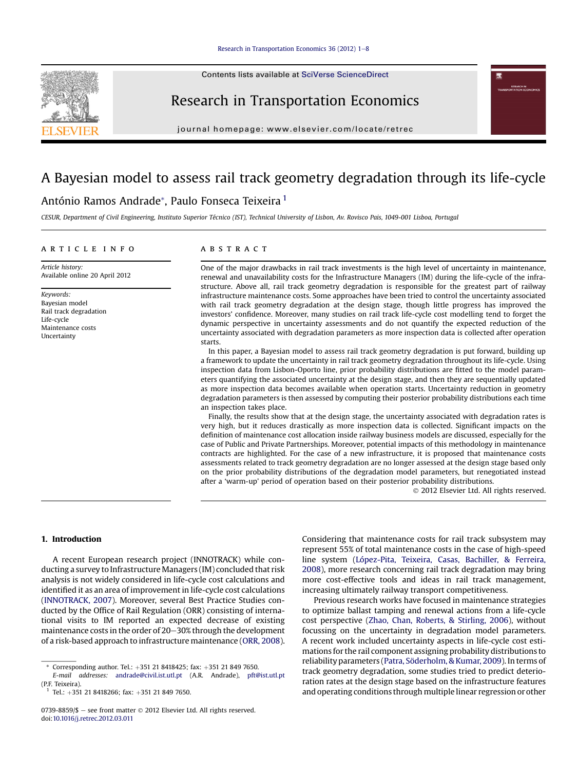#### Research in Transportation Economics 36 (2012)  $1-8$  $1-8$





### Research in Transportation Economics

journal homepage: [www.elsevier.com/locate/retrec](http://www.elsevier.com/locate/retrec)

## A Bayesian model to assess rail track geometry degradation through its life-cycle

### António Ramos Andrade\*, Paulo Fonseca Teixeira <sup>1</sup>

CESUR, Department of Civil Engineering, Instituto Superior Técnico (IST), Technical University of Lisbon, Av. Rovisco Pais, 1049-001 Lisboa, Portugal

#### article info

Article history: Available online 20 April 2012

Keywords: Bayesian model Rail track degradation Life-cycle Maintenance costs Uncertainty

#### **ABSTRACT**

One of the major drawbacks in rail track investments is the high level of uncertainty in maintenance, renewal and unavailability costs for the Infrastructure Managers (IM) during the life-cycle of the infrastructure. Above all, rail track geometry degradation is responsible for the greatest part of railway infrastructure maintenance costs. Some approaches have been tried to control the uncertainty associated with rail track geometry degradation at the design stage, though little progress has improved the investors' confidence. Moreover, many studies on rail track life-cycle cost modelling tend to forget the dynamic perspective in uncertainty assessments and do not quantify the expected reduction of the uncertainty associated with degradation parameters as more inspection data is collected after operation starts.

In this paper, a Bayesian model to assess rail track geometry degradation is put forward, building up a framework to update the uncertainty in rail track geometry degradation throughout its life-cycle. Using inspection data from Lisbon-Oporto line, prior probability distributions are fitted to the model parameters quantifying the associated uncertainty at the design stage, and then they are sequentially updated as more inspection data becomes available when operation starts. Uncertainty reduction in geometry degradation parameters is then assessed by computing their posterior probability distributions each time an inspection takes place.

Finally, the results show that at the design stage, the uncertainty associated with degradation rates is very high, but it reduces drastically as more inspection data is collected. Significant impacts on the definition of maintenance cost allocation inside railway business models are discussed, especially for the case of Public and Private Partnerships. Moreover, potential impacts of this methodology in maintenance contracts are highlighted. For the case of a new infrastructure, it is proposed that maintenance costs assessments related to track geometry degradation are no longer assessed at the design stage based only on the prior probability distributions of the degradation model parameters, but renegotiated instead after a 'warm-up' period of operation based on their posterior probability distributions.

2012 Elsevier Ltd. All rights reserved.

#### 1. Introduction

A recent European research project (INNOTRACK) while conducting a survey to Infrastructure Managers (IM) concluded that risk analysis is not widely considered in life-cycle cost calculations and identified it as an area of improvement in life-cycle cost calculations ([INNOTRACK, 2007](#page--1-0)). Moreover, several Best Practice Studies conducted by the Office of Rail Regulation (ORR) consisting of international visits to IM reported an expected decrease of existing maintenance costs in the order of 20-30% through the development of a risk-based approach to infrastructure maintenance ([ORR, 2008\)](#page--1-0).

Considering that maintenance costs for rail track subsystem may represent 55% of total maintenance costs in the case of high-speed line system ([López-Pita, Teixeira, Casas, Bachiller, & Ferreira,](#page--1-0) [2008\)](#page--1-0), more research concerning rail track degradation may bring more cost-effective tools and ideas in rail track management, increasing ultimately railway transport competitiveness.

Previous research works have focused in maintenance strategies to optimize ballast tamping and renewal actions from a life-cycle cost perspective [\(Zhao, Chan, Roberts, & Stirling, 2006](#page--1-0)), without focussing on the uncertainty in degradation model parameters. A recent work included uncertainty aspects in life-cycle cost estimations for the rail component assigning probability distributions to reliability parameters ([Patra, Söderholm, & Kumar, 2009\)](#page--1-0). In terms of track geometry degradation, some studies tried to predict deterioration rates at the design stage based on the infrastructure features and operating conditions through multiple linear regression or other

Corresponding author. Tel.: +351 21 8418425; fax: +351 21 849 7650.

E-mail addresses: [andrade@civil.ist.utl.pt](mailto:andrade@civil.ist.utl.pt) (A.R. Andrade), [pft@ist.utl.pt](mailto:pft@ist.utl.pt) (P.F. Teixeira).

Tel.: +351 21 8418266; fax: +351 21 849 7650.

<sup>0739-8859/\$ -</sup> see front matter  $\odot$  2012 Elsevier Ltd. All rights reserved. doi[:10.1016/j.retrec.2012.03.011](http://dx.doi.org/10.1016/j.retrec.2012.03.011)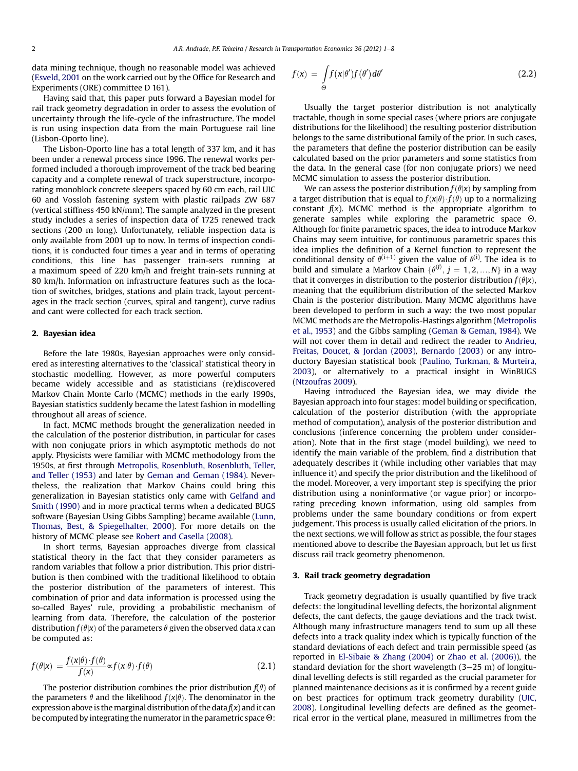data mining technique, though no reasonable model was achieved ([Esveld, 2001](#page--1-0) on the work carried out by the Office for Research and Experiments (ORE) committee D 161).

Having said that, this paper puts forward a Bayesian model for rail track geometry degradation in order to assess the evolution of uncertainty through the life-cycle of the infrastructure. The model is run using inspection data from the main Portuguese rail line (Lisbon-Oporto line).

The Lisbon-Oporto line has a total length of 337 km, and it has been under a renewal process since 1996. The renewal works performed included a thorough improvement of the track bed bearing capacity and a complete renewal of track superstructure, incorporating monoblock concrete sleepers spaced by 60 cm each, rail UIC 60 and Vossloh fastening system with plastic railpads ZW 687 (vertical stiffness 450 kN/mm). The sample analyzed in the present study includes a series of inspection data of 1725 renewed track sections (200 m long). Unfortunately, reliable inspection data is only available from 2001 up to now. In terms of inspection conditions, it is conducted four times a year and in terms of operating conditions, this line has passenger train-sets running at a maximum speed of 220 km/h and freight train-sets running at 80 km/h. Information on infrastructure features such as the location of switches, bridges, stations and plain track, layout percentages in the track section (curves, spiral and tangent), curve radius and cant were collected for each track section.

#### 2. Bayesian idea

Before the late 1980s, Bayesian approaches were only considered as interesting alternatives to the 'classical' statistical theory in stochastic modelling. However, as more powerful computers became widely accessible and as statisticians (re)discovered Markov Chain Monte Carlo (MCMC) methods in the early 1990s, Bayesian statistics suddenly became the latest fashion in modelling throughout all areas of science.

In fact, MCMC methods brought the generalization needed in the calculation of the posterior distribution, in particular for cases with non conjugate priors in which asymptotic methods do not apply. Physicists were familiar with MCMC methodology from the 1950s, at first through [Metropolis, Rosenbluth, Rosenbluth, Teller,](#page--1-0) [and Teller \(1953\)](#page--1-0) and later by [Geman and Geman \(1984\).](#page--1-0) Nevertheless, the realization that Markov Chains could bring this generalization in Bayesian statistics only came with [Gelfand and](#page--1-0) [Smith \(1990\)](#page--1-0) and in more practical terms when a dedicated BUGS software (Bayesian Using Gibbs Sampling) became available ([Lunn,](#page--1-0) [Thomas, Best, & Spiegelhalter, 2000\)](#page--1-0). For more details on the history of MCMC please see [Robert and Casella \(2008\)](#page--1-0).

In short terms, Bayesian approaches diverge from classical statistical theory in the fact that they consider parameters as random variables that follow a prior distribution. This prior distribution is then combined with the traditional likelihood to obtain the posterior distribution of the parameters of interest. This combination of prior and data information is processed using the so-called Bayes' rule, providing a probabilistic mechanism of learning from data. Therefore, the calculation of the posterior distribution  $f(\theta|x)$  of the parameters  $\theta$  given the observed data x can be computed as:

$$
f(\theta|\mathbf{x}) = \frac{f(\mathbf{x}|\theta) \cdot f(\theta)}{f(\mathbf{x})} \propto f(\mathbf{x}|\theta) \cdot f(\theta)
$$
\n(2.1)

The posterior distribution combines the prior distribution  $f(\theta)$  of the parameters  $\theta$  and the likelihood  $f(x|\theta)$ . The denominator in the expression above is the marginal distribution of the data  $f(x)$  and it can be computed by integrating the numerator in the parametric space  $\Theta$ :

$$
f(x) = \int_{\Theta} f(x|\theta')f(\theta')d\theta'
$$
 (2.2)

Usually the target posterior distribution is not analytically tractable, though in some special cases (where priors are conjugate distributions for the likelihood) the resulting posterior distribution belongs to the same distributional family of the prior. In such cases, the parameters that define the posterior distribution can be easily calculated based on the prior parameters and some statistics from the data. In the general case (for non conjugate priors) we need MCMC simulation to assess the posterior distribution.

We can assess the posterior distribution  $f(\theta|x)$  by sampling from a target distribution that is equal to  $f(x|\theta) \cdot f(\theta)$  up to a normalizing constant  $f(x)$ . MCMC method is the appropriate algorithm to generate samples while exploring the parametric space Q. Although for finite parametric spaces, the idea to introduce Markov Chains may seem intuitive, for continuous parametric spaces this idea implies the definition of a Kernel function to represent the conditional density of  $\theta^{(i+1)}$  given the value of  $\theta^{(i)}$ . The idea is to build and simulate a Markov Chain  $\{\theta^{(j)}, j = 1, 2, ..., N\}$  in a way that it converges in distribution to the posterior distribution  $f(\theta|x)$ , meaning that the equilibrium distribution of the selected Markov Chain is the posterior distribution. Many MCMC algorithms have been developed to perform in such a way: the two most popular MCMC methods are the Metropolis-Hastings algorithm ([Metropolis](#page--1-0) [et al., 1953\)](#page--1-0) and the Gibbs sampling [\(Geman & Geman, 1984\)](#page--1-0). We will not cover them in detail and redirect the reader to [Andrieu,](#page--1-0) [Freitas, Doucet, & Jordan \(2003\)](#page--1-0), [Bernardo \(2003\)](#page--1-0) or any introductory Bayesian statistical book ([Paulino, Turkman, & Murteira,](#page--1-0) [2003](#page--1-0)), or alternatively to a practical insight in WinBUGS ([Ntzoufras 2009](#page--1-0)).

Having introduced the Bayesian idea, we may divide the Bayesian approach into four stages: model building or specification, calculation of the posterior distribution (with the appropriate method of computation), analysis of the posterior distribution and conclusions (inference concerning the problem under consideration). Note that in the first stage (model building), we need to identify the main variable of the problem, find a distribution that adequately describes it (while including other variables that may influence it) and specify the prior distribution and the likelihood of the model. Moreover, a very important step is specifying the prior distribution using a noninformative (or vague prior) or incorporating preceding known information, using old samples from problems under the same boundary conditions or from expert judgement. This process is usually called elicitation of the priors. In the next sections, we will follow as strict as possible, the four stages mentioned above to describe the Bayesian approach, but let us first discuss rail track geometry phenomenon.

#### 3. Rail track geometry degradation

Track geometry degradation is usually quantified by five track defects: the longitudinal levelling defects, the horizontal alignment defects, the cant defects, the gauge deviations and the track twist. Although many infrastructure managers tend to sum up all these defects into a track quality index which is typically function of the standard deviations of each defect and train permissible speed (as reported in [El-Sibaie & Zhang \(2004\)](#page--1-0) or [Zhao et al. \(2006\)](#page--1-0)), the standard deviation for the short wavelength  $(3-25 \text{ m})$  of longitudinal levelling defects is still regarded as the crucial parameter for planned maintenance decisions as it is confirmed by a recent guide on best practices for optimum track geometry durability ([UIC,](#page--1-0) [2008](#page--1-0)). Longitudinal levelling defects are defined as the geometrical error in the vertical plane, measured in millimetres from the